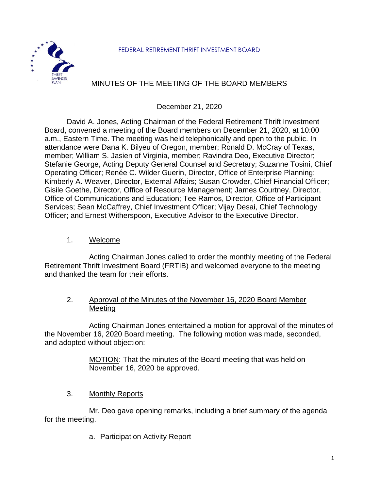

# MINUTES OF THE MEETING OF THE BOARD MEMBERS

December 21, 2020

David A. Jones, Acting Chairman of the Federal Retirement Thrift Investment Board, convened a meeting of the Board members on December 21, 2020, at 10:00 a.m., Eastern Time. The meeting was held telephonically and open to the public. In attendance were Dana K. Bilyeu of Oregon, member; Ronald D. McCray of Texas, member; William S. Jasien of Virginia, member; Ravindra Deo, Executive Director; Stefanie George, Acting Deputy General Counsel and Secretary; Suzanne Tosini, Chief Operating Officer; Renée C. Wilder Guerin, Director, Office of Enterprise Planning; Kimberly A. Weaver, Director, External Affairs; Susan Crowder, Chief Financial Officer; Gisile Goethe, Director, Office of Resource Management; James Courtney, Director, Office of Communications and Education; Tee Ramos, Director, Office of Participant Services; Sean McCaffrey, Chief Investment Officer; Vijay Desai, Chief Technology Officer; and Ernest Witherspoon, Executive Advisor to the Executive Director.

1. Welcome

Acting Chairman Jones called to order the monthly meeting of the Federal Retirement Thrift Investment Board (FRTIB) and welcomed everyone to the meeting and thanked the team for their efforts.

### 2. Approval of the Minutes of the November 16, 2020 Board Member Meeting

Acting Chairman Jones entertained a motion for approval of the minutes of the November 16, 2020 Board meeting. The following motion was made, seconded, and adopted without objection:

> MOTION: That the minutes of the Board meeting that was held on November 16, 2020 be approved.

3. Monthly Reports

Mr. Deo gave opening remarks, including a brief summary of the agenda for the meeting.

a. Participation Activity Report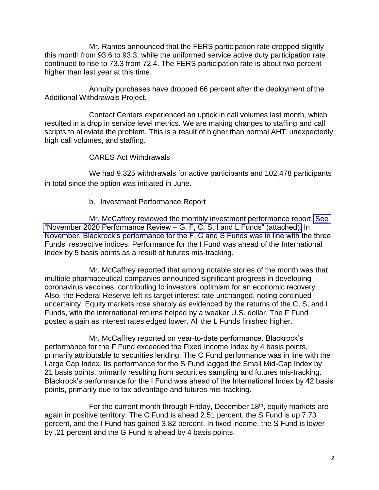Mr. Ramos announced that the FERS participation rate dropped slightly this month from 93.6 to 93.3, while the uniformed service active duty participation rate continued to rise to 73.3 from 72.4. The FERS participation rate is about two percent higher than last year at this time.

Annuity purchases have dropped 66 percent after the deployment of the Additional Withdrawals Project.

Contact Centers experienced an uptick in call volumes last month, which resulted in a drop in service level metrics. We are making changes to staffing and call scripts to alleviate the problem. This is a result of higher than normal AHT, unexpectedly high call volumes, and staffing.

### CARES Act Withdrawals

We had 9.325 withdrawals for active participants and 102,478 participants in total since the option was initiated in June.

### b. Investment Performance Report

Mr. McCaffrey reviewed the monthly investment performance report. [See](https://www.frtib.gov/pdf/minutes/2020/Dec/MM-2020Dec-Att2.pdf) ["November 2020 Performance Review –](https://www.frtib.gov/pdf/minutes/2020/Dec/MM-2020Dec-Att2.pdf) G, F, C, S, I and L Funds" (attached). In November, Blackrock's performance for the F, C and S Funds was in line with the three Funds' respective indices. Performance for the I Fund was ahead of the International Index by 5 basis points as a result of futures mis-tracking.

Mr. McCaffrey reported that among notable stories of the month was that multiple pharmaceutical companies announced significant progress in developing coronavirus vaccines, contributing to investors' optimism for an economic recovery. Also, the Federal Reserve left its target interest rate unchanged, noting continued uncertainty. Equity markets rose sharply as evidenced by the returns of the C, S, and I Funds, with the international returns helped by a weaker U.S. dollar. The F Fund posted a gain as interest rates edged lower. All the L Funds finished higher.

Mr. McCaffrey reported on year-to-date performance. Blackrock's performance for the F Fund exceeded the Fixed Income Index by 4 basis points, primarily attributable to securities lending. The C Fund performance was in line with the Large Cap Index. Its performance for the S Fund lagged the Small Mid-Cap Index by 21 basis points, primarily resulting from securities sampling and futures mis-tracking. Blackrock's performance for the I Fund was ahead of the International Index by 42 basis points, primarily due to tax advantage and futures mis-tracking.

For the current month through Friday, December  $18<sup>th</sup>$ , equity markets are again in positive territory. The C Fund is ahead 2.51 percent, the S Fund is up 7.73 percent, and the I Fund has gained 3.82 percent. In fixed income, the S Fund is lower by .21 percent and the G Fund is ahead by 4 basis points.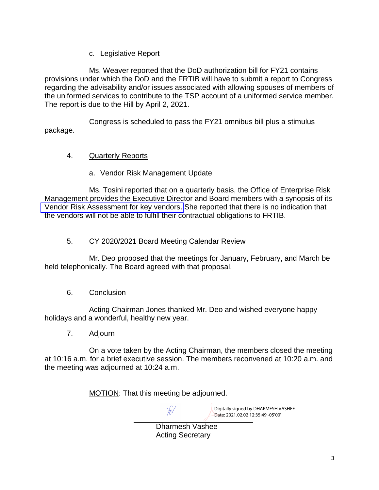c. Legislative Report

Ms. Weaver reported that the DoD authorization bill for FY21 contains provisions under which the DoD and the FRTIB will have to submit a report to Congress regarding the advisability and/or issues associated with allowing spouses of members of the uniformed services to contribute to the TSP account of a uniformed service member. The report is due to the Hill by April 2, 2021.

Congress is scheduled to pass the FY21 omnibus bill plus a stimulus package.

## 4. Quarterly Reports

a. Vendor Risk Management Update

Ms. Tosini reported that on a quarterly basis, the Office of Enterprise Risk Management provides the Executive Director and Board members with a synopsis of its [Vendor Risk Assessment for key vendors.](https://www.frtib.gov/pdf/minutes/2020/Dec/MM-2020Dec-Att3.pdf) She reported that there is no indication that the vendors will not be able to fulfill their contractual obligations to FRTIB.

## 5. CY 2020/2021 Board Meeting Calendar Review

Mr. Deo proposed that the meetings for January, February, and March be held telephonically. The Board agreed with that proposal.

## 6. Conclusion

Acting Chairman Jones thanked Mr. Deo and wished everyone happy holidays and a wonderful, healthy new year.

## 7. Adjourn

On a vote taken by the Acting Chairman, the members closed the meeting at 10:16 a.m. for a brief executive session. The members reconvened at 10:20 a.m. and the meeting was adjourned at 10:24 a.m.

MOTION: That this meeting be adjourned.

Digitally signed by DHARMESH VASHEE Date: 2021.02.02 12:35:49 -05'00'

Dharmesh Vashee Acting Secretary